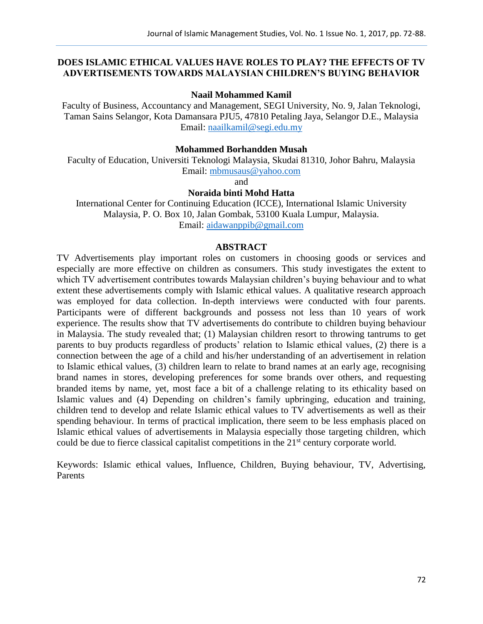# **DOES ISLAMIC ETHICAL VALUES HAVE ROLES TO PLAY? THE EFFECTS OF TV ADVERTISEMENTS TOWARDS MALAYSIAN CHILDREN'S BUYING BEHAVIOR**

### **Naail Mohammed Kamil**

Faculty of Business, Accountancy and Management, SEGI University, No. 9, Jalan Teknologi, Taman Sains Selangor, Kota Damansara PJU5, 47810 Petaling Jaya, Selangor D.E., Malaysia Email: [naailkamil@segi.edu.my](mailto:naailkamil@segi.edu.my)

## **Mohammed Borhandden Musah**

Faculty of Education, Universiti Teknologi Malaysia, Skudai 81310, Johor Bahru, Malaysia Email: [mbmusaus@yahoo.com](mailto:mbmusaus@yahoo.com)

and

# **Noraida binti Mohd Hatta**

International Center for Continuing Education (ICCE), International Islamic University Malaysia, P. O. Box 10, Jalan Gombak, 53100 Kuala Lumpur, Malaysia. Email: [aidawanppib@gmail.com](mailto:aidawanppib@gmail.com)

### **ABSTRACT**

TV Advertisements play important roles on customers in choosing goods or services and especially are more effective on children as consumers. This study investigates the extent to which TV advertisement contributes towards Malaysian children's buying behaviour and to what extent these advertisements comply with Islamic ethical values. A qualitative research approach was employed for data collection. In-depth interviews were conducted with four parents. Participants were of different backgrounds and possess not less than 10 years of work experience. The results show that TV advertisements do contribute to children buying behaviour in Malaysia. The study revealed that; (1) Malaysian children resort to throwing tantrums to get parents to buy products regardless of products' relation to Islamic ethical values, (2) there is a connection between the age of a child and his/her understanding of an advertisement in relation to Islamic ethical values, (3) children learn to relate to brand names at an early age, recognising brand names in stores, developing preferences for some brands over others, and requesting branded items by name, yet, most face a bit of a challenge relating to its ethicality based on Islamic values and (4) Depending on children's family upbringing, education and training, children tend to develop and relate Islamic ethical values to TV advertisements as well as their spending behaviour. In terms of practical implication, there seem to be less emphasis placed on Islamic ethical values of advertisements in Malaysia especially those targeting children, which could be due to fierce classical capitalist competitions in the 21<sup>st</sup> century corporate world.

Keywords: Islamic ethical values, Influence, Children, Buying behaviour, TV, Advertising, Parents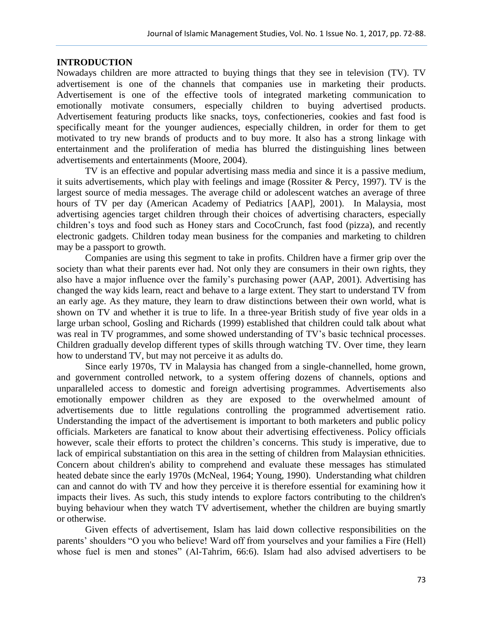## **INTRODUCTION**

Nowadays children are more attracted to buying things that they see in television (TV). TV advertisement is one of the channels that companies use in marketing their products. Advertisement is one of the effective tools of integrated marketing communication to emotionally motivate consumers, especially children to buying advertised products. Advertisement featuring products like snacks, toys, confectioneries, cookies and fast food is specifically meant for the younger audiences, especially children, in order for them to get motivated to try new brands of products and to buy more. It also has a strong linkage with entertainment and the proliferation of media has blurred the distinguishing lines between advertisements and entertainments (Moore, 2004).

TV is an effective and popular advertising mass media and since it is a passive medium, it suits advertisements, which play with feelings and image (Rossiter & Percy, 1997). TV is the largest source of media messages. The average child or adolescent watches an average of three hours of TV per day (American Academy of Pediatrics [AAP], 2001). In Malaysia, most advertising agencies target children through their choices of advertising characters, especially children's toys and food such as Honey stars and CocoCrunch, fast food (pizza), and recently electronic gadgets. Children today mean business for the companies and marketing to children may be a passport to growth.

Companies are using this segment to take in profits. Children have a firmer grip over the society than what their parents ever had. Not only they are consumers in their own rights, they also have a major influence over the family's purchasing power (AAP, 2001). Advertising has changed the way kids learn, react and behave to a large extent. They start to understand TV from an early age. As they mature, they learn to draw distinctions between their own world, what is shown on TV and whether it is true to life. In a three-year British study of five year olds in a large urban school, Gosling and Richards (1999) established that children could talk about what was real in TV programmes, and some showed understanding of TV's basic technical processes. Children gradually develop different types of skills through watching TV. Over time, they learn how to understand TV, but may not perceive it as adults do.

Since early 1970s, TV in Malaysia has changed from a single-channelled, home grown, and government controlled network, to a system offering dozens of channels, options and unparalleled access to domestic and foreign advertising programmes. Advertisements also emotionally empower children as they are exposed to the overwhelmed amount of advertisements due to little regulations controlling the programmed advertisement ratio. Understanding the impact of the advertisement is important to both marketers and public policy officials. Marketers are fanatical to know about their advertising effectiveness. Policy officials however, scale their efforts to protect the children's concerns. This study is imperative, due to lack of empirical substantiation on this area in the setting of children from Malaysian ethnicities. Concern about children's ability to comprehend and evaluate these messages has stimulated heated debate since the early 1970s (McNeal, 1964; Young, 1990). Understanding what children can and cannot do with TV and how they perceive it is therefore essential for examining how it impacts their lives. As such, this study intends to explore factors contributing to the children's buying behaviour when they watch TV advertisement, whether the children are buying smartly or otherwise.

Given effects of advertisement, Islam has laid down collective responsibilities on the parents' shoulders "O you who believe! Ward off from yourselves and your families a Fire (Hell) whose fuel is men and stones" (Al-Tahrim, 66:6). Islam had also advised advertisers to be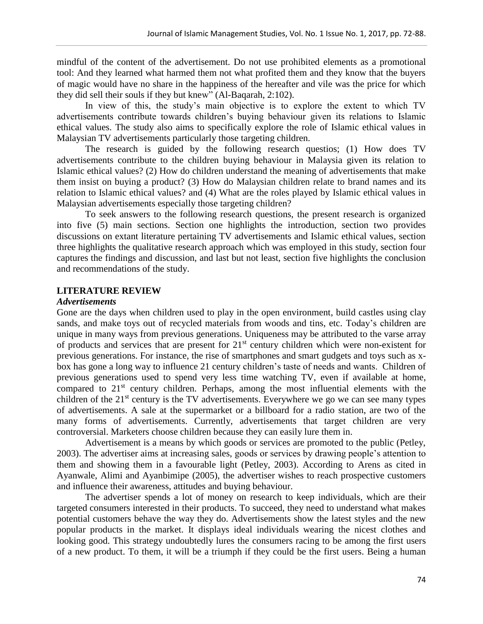mindful of the content of the advertisement. Do not use prohibited elements as a promotional tool: And they learned what harmed them not what profited them and they know that the buyers of magic would have no share in the happiness of the hereafter and vile was the price for which they did sell their souls if they but knew" (Al-Baqarah, 2:102).

In view of this, the study's main objective is to explore the extent to which TV advertisements contribute towards children's buying behaviour given its relations to Islamic ethical values. The study also aims to specifically explore the role of Islamic ethical values in Malaysian TV advertisements particularly those targeting children.

The research is guided by the following research questios; (1) How does TV advertisements contribute to the children buying behaviour in Malaysia given its relation to Islamic ethical values? (2) How do children understand the meaning of advertisements that make them insist on buying a product? (3) How do Malaysian children relate to brand names and its relation to Islamic ethical values? and (4) What are the roles played by Islamic ethical values in Malaysian advertisements especially those targeting children?

To seek answers to the following research questions, the present research is organized into five (5) main sections. Section one highlights the introduction, section two provides discussions on extant literature pertaining TV advertisements and Islamic ethical values, section three highlights the qualitative research approach which was employed in this study, section four captures the findings and discussion, and last but not least, section five highlights the conclusion and recommendations of the study.

## **LITERATURE REVIEW**

#### *Advertisements*

Gone are the days when children used to play in the open environment, build castles using clay sands, and make toys out of recycled materials from woods and tins, etc. Today's children are unique in many ways from previous generations. Uniqueness may be attributed to the varse array of products and services that are present for 21st century children which were non-existent for previous generations. For instance, the rise of smartphones and smart gudgets and toys such as xbox has gone a long way to influence 21 century children's taste of needs and wants. Children of previous generations used to spend very less time watching TV, even if available at home, compared to  $21<sup>st</sup>$  century children. Perhaps, among the most influential elements with the children of the 21<sup>st</sup> century is the TV advertisements. Everywhere we go we can see many types of advertisements. A sale at the supermarket or a billboard for a radio station, are two of the many forms of advertisements. Currently, advertisements that target children are very controversial. Marketers choose children because they can easily lure them in.

Advertisement is a means by which goods or services are promoted to the public (Petley, 2003). The advertiser aims at increasing sales, goods or services by drawing people's attention to them and showing them in a favourable light (Petley, 2003). According to Arens as cited in Ayanwale, Alimi and Ayanbimipe (2005), the advertiser wishes to reach prospective customers and influence their awareness, attitudes and buying behaviour.

The advertiser spends a lot of money on research to keep individuals, which are their targeted consumers interested in their products. To succeed, they need to understand what makes potential customers behave the way they do. Advertisements show the latest styles and the new popular products in the market. It displays ideal individuals wearing the nicest clothes and looking good. This strategy undoubtedly lures the consumers racing to be among the first users of a new product. To them, it will be a triumph if they could be the first users. Being a human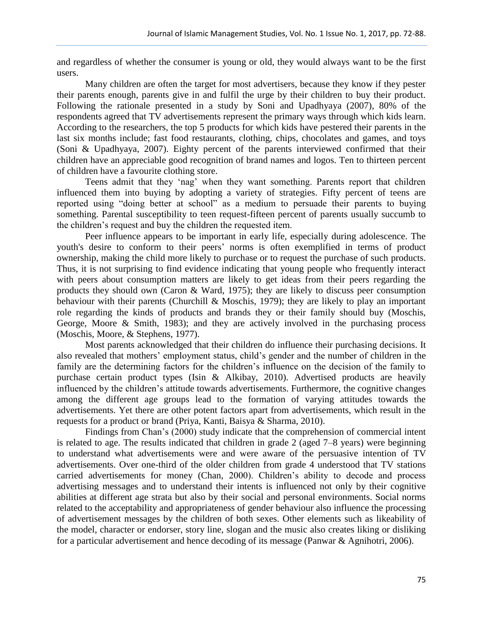and regardless of whether the consumer is young or old, they would always want to be the first users.

Many children are often the target for most advertisers, because they know if they pester their parents enough, parents give in and fulfil the urge by their children to buy their product. Following the rationale presented in a study by Soni and Upadhyaya (2007), 80% of the respondents agreed that TV advertisements represent the primary ways through which kids learn. According to the researchers, the top 5 products for which kids have pestered their parents in the last six months include; fast food restaurants, clothing, chips, chocolates and games, and toys (Soni & Upadhyaya, 2007). Eighty percent of the parents interviewed confirmed that their children have an appreciable good recognition of brand names and logos. Ten to thirteen percent of children have a favourite clothing store.

Teens admit that they 'nag' when they want something. Parents report that children influenced them into buying by adopting a variety of strategies. Fifty percent of teens are reported using "doing better at school" as a medium to persuade their parents to buying something. Parental susceptibility to teen request-fifteen percent of parents usually succumb to the children's request and buy the children the requested item.

Peer influence appears to be important in early life, especially during adolescence. The youth's desire to conform to their peers' norms is often exemplified in terms of product ownership, making the child more likely to purchase or to request the purchase of such products. Thus, it is not surprising to find evidence indicating that young people who frequently interact with peers about consumption matters are likely to get ideas from their peers regarding the products they should own (Caron & Ward, 1975); they are likely to discuss peer consumption behaviour with their parents (Churchill & Moschis, 1979); they are likely to play an important role regarding the kinds of products and brands they or their family should buy (Moschis, George, Moore & Smith, 1983); and they are actively involved in the purchasing process (Moschis, Moore, & Stephens, 1977).

Most parents acknowledged that their children do influence their purchasing decisions. It also revealed that mothers' employment status, child's gender and the number of children in the family are the determining factors for the children's influence on the decision of the family to purchase certain product types (Isin & Alkibay, 2010). Advertised products are heavily influenced by the children's attitude towards advertisements. Furthermore, the cognitive changes among the different age groups lead to the formation of varying attitudes towards the advertisements. Yet there are other potent factors apart from advertisements, which result in the requests for a product or brand (Priya, Kanti, Baisya & Sharma, 2010).

Findings from Chan's (2000) study indicate that the comprehension of commercial intent is related to age. The results indicated that children in grade 2 (aged 7–8 years) were beginning to understand what advertisements were and were aware of the persuasive intention of TV advertisements. Over one-third of the older children from grade 4 understood that TV stations carried advertisements for money (Chan, 2000). Children's ability to decode and process advertising messages and to understand their intents is influenced not only by their cognitive abilities at different age strata but also by their social and personal environments. Social norms related to the acceptability and appropriateness of gender behaviour also influence the processing of advertisement messages by the children of both sexes. Other elements such as likeability of the model, character or endorser, story line, slogan and the music also creates liking or disliking for a particular advertisement and hence decoding of its message (Panwar & Agnihotri, 2006).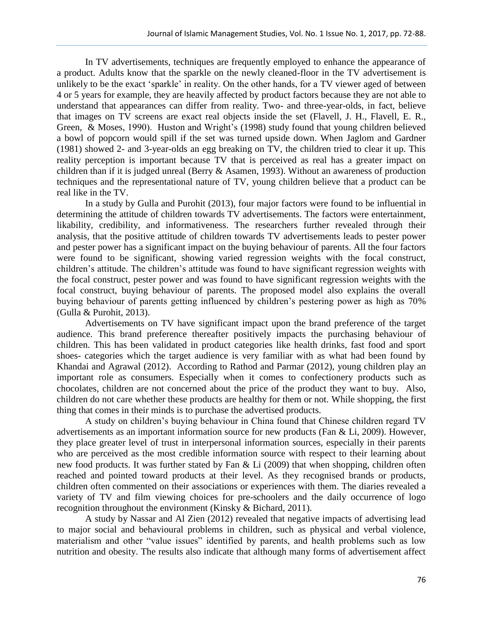In TV advertisements, techniques are frequently employed to enhance the appearance of a product. Adults know that the sparkle on the newly cleaned-floor in the TV advertisement is unlikely to be the exact 'sparkle' in reality. On the other hands, for a TV viewer aged of between 4 or 5 years for example, they are heavily affected by product factors because they are not able to understand that appearances can differ from reality. Two- and three-year-olds, in fact, believe that images on TV screens are exact real objects inside the set (Flavell, J. H., Flavell, E. R., Green, & Moses, 1990). Huston and Wright's (1998) study found that young children believed a bowl of popcorn would spill if the set was turned upside down. When Jaglom and Gardner (1981) showed 2- and 3-year-olds an egg breaking on TV, the children tried to clear it up. This reality perception is important because TV that is perceived as real has a greater impact on children than if it is judged unreal (Berry & Asamen, 1993). Without an awareness of production techniques and the representational nature of TV, young children believe that a product can be real like in the TV.

In a study by Gulla and Purohit (2013), four major factors were found to be influential in determining the attitude of children towards TV advertisements. The factors were entertainment, likability, credibility, and informativeness. The researchers further revealed through their analysis, that the positive attitude of children towards TV advertisements leads to pester power and pester power has a significant impact on the buying behaviour of parents. All the four factors were found to be significant, showing varied regression weights with the focal construct, children's attitude. The children's attitude was found to have significant regression weights with the focal construct, pester power and was found to have significant regression weights with the focal construct, buying behaviour of parents. The proposed model also explains the overall buying behaviour of parents getting influenced by children's pestering power as high as 70% (Gulla & Purohit, 2013).

Advertisements on TV have significant impact upon the brand preference of the target audience. This brand preference thereafter positively impacts the purchasing behaviour of children. This has been validated in product categories like health drinks, fast food and sport shoes- categories which the target audience is very familiar with as what had been found by Khandai and Agrawal (2012). According to Rathod and Parmar (2012), young children play an important role as consumers. Especially when it comes to confectionery products such as chocolates, children are not concerned about the price of the product they want to buy. Also, children do not care whether these products are healthy for them or not. While shopping, the first thing that comes in their minds is to purchase the advertised products.

A study on children's buying behaviour in China found that Chinese children regard TV advertisements as an important information source for new products (Fan & Li, 2009). However, they place greater level of trust in interpersonal information sources, especially in their parents who are perceived as the most credible information source with respect to their learning about new food products. It was further stated by Fan & Li (2009) that when shopping, children often reached and pointed toward products at their level. As they recognised brands or products, children often commented on their associations or experiences with them. The diaries revealed a variety of TV and film viewing choices for pre-schoolers and the daily occurrence of logo recognition throughout the environment (Kinsky & Bichard, 2011).

A study by Nassar and Al Zien (2012) revealed that negative impacts of advertising lead to major social and behavioural problems in children, such as physical and verbal violence, materialism and other "value issues" identified by parents, and health problems such as low nutrition and obesity. The results also indicate that although many forms of advertisement affect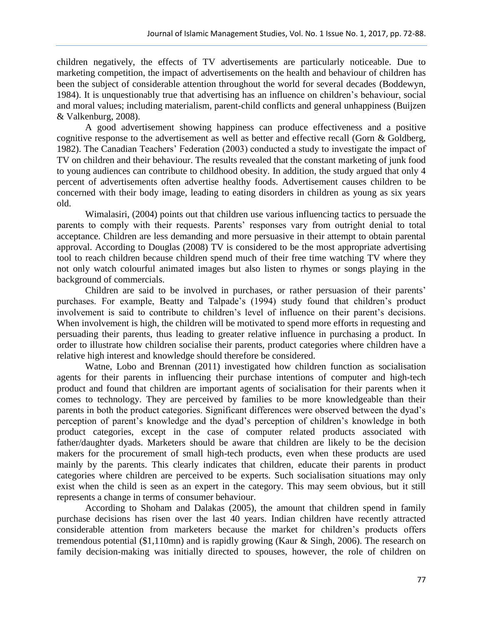children negatively, the effects of TV advertisements are particularly noticeable. Due to marketing competition, the impact of advertisements on the health and behaviour of children has been the subject of considerable attention throughout the world for several decades (Boddewyn, 1984). It is unquestionably true that advertising has an influence on children's behaviour, social and moral values; including materialism, parent-child conflicts and general unhappiness (Buijzen & Valkenburg, 2008).

A good advertisement showing happiness can produce effectiveness and a positive cognitive response to the advertisement as well as better and effective recall (Gorn & Goldberg, 1982). The Canadian Teachers' Federation (2003) conducted a study to investigate the impact of TV on children and their behaviour. The results revealed that the constant marketing of junk food to young audiences can contribute to childhood obesity. In addition, the study argued that only 4 percent of advertisements often advertise healthy foods. Advertisement causes children to be concerned with their body image, leading to eating disorders in children as young as six years old.

Wimalasiri, (2004) points out that children use various influencing tactics to persuade the parents to comply with their requests. Parents' responses vary from outright denial to total acceptance. Children are less demanding and more persuasive in their attempt to obtain parental approval. According to Douglas (2008) TV is considered to be the most appropriate advertising tool to reach children because children spend much of their free time watching TV where they not only watch colourful animated images but also listen to rhymes or songs playing in the background of commercials.

Children are said to be involved in purchases, or rather persuasion of their parents' purchases. For example, Beatty and Talpade's (1994) study found that children's product involvement is said to contribute to children's level of influence on their parent's decisions. When involvement is high, the children will be motivated to spend more efforts in requesting and persuading their parents, thus leading to greater relative influence in purchasing a product. In order to illustrate how children socialise their parents, product categories where children have a relative high interest and knowledge should therefore be considered.

Watne, Lobo and Brennan (2011) investigated how children function as socialisation agents for their parents in influencing their purchase intentions of computer and high-tech product and found that children are important agents of socialisation for their parents when it comes to technology. They are perceived by families to be more knowledgeable than their parents in both the product categories. Significant differences were observed between the dyad's perception of parent's knowledge and the dyad's perception of children's knowledge in both product categories, except in the case of computer related products associated with father/daughter dyads. Marketers should be aware that children are likely to be the decision makers for the procurement of small high-tech products, even when these products are used mainly by the parents. This clearly indicates that children, educate their parents in product categories where children are perceived to be experts. Such socialisation situations may only exist when the child is seen as an expert in the category. This may seem obvious, but it still represents a change in terms of consumer behaviour.

According to Shoham and Dalakas (2005), the amount that children spend in family purchase decisions has risen over the last 40 years. Indian children have recently attracted considerable attention from marketers because the market for children's products offers tremendous potential (\$1,110mn) and is rapidly growing (Kaur & Singh, 2006). The research on family decision-making was initially directed to spouses, however, the role of children on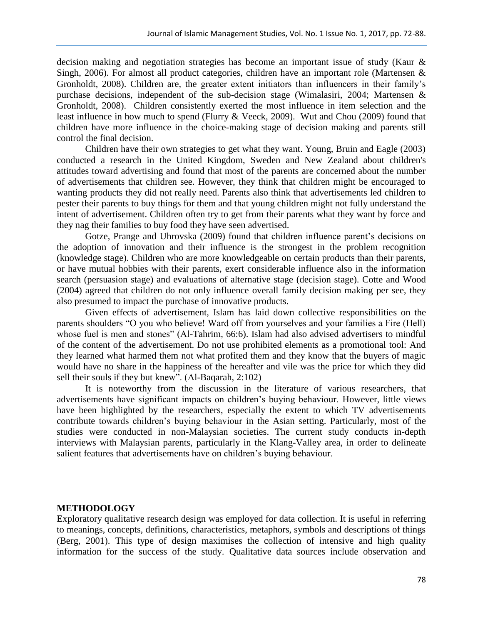decision making and negotiation strategies has become an important issue of study (Kaur & Singh, 2006). For almost all product categories, children have an important role (Martensen & Gronholdt, 2008). Children are, the greater extent initiators than influencers in their family's purchase decisions, independent of the sub-decision stage (Wimalasiri, 2004; Martensen & Gronholdt, 2008). Children consistently exerted the most influence in item selection and the least influence in how much to spend (Flurry & Veeck, 2009). Wut and Chou (2009) found that children have more influence in the choice-making stage of decision making and parents still control the final decision.

Children have their own strategies to get what they want. Young, Bruin and Eagle (2003) conducted a research in the United Kingdom, Sweden and New Zealand about children's attitudes toward advertising and found that most of the parents are concerned about the number of advertisements that children see. However, they think that children might be encouraged to wanting products they did not really need. Parents also think that advertisements led children to pester their parents to buy things for them and that young children might not fully understand the intent of advertisement. Children often try to get from their parents what they want by force and they nag their families to buy food they have seen advertised.

Gotze, Prange and Uhrovska (2009) found that children influence parent's decisions on the adoption of innovation and their influence is the strongest in the problem recognition (knowledge stage). Children who are more knowledgeable on certain products than their parents, or have mutual hobbies with their parents, exert considerable influence also in the information search (persuasion stage) and evaluations of alternative stage (decision stage). Cotte and Wood (2004) agreed that children do not only influence overall family decision making per see, they also presumed to impact the purchase of innovative products.

Given effects of advertisement, Islam has laid down collective responsibilities on the parents shoulders "O you who believe! Ward off from yourselves and your families a Fire (Hell) whose fuel is men and stones" (Al-Tahrim, 66:6). Islam had also advised advertisers to mindful of the content of the advertisement. Do not use prohibited elements as a promotional tool: And they learned what harmed them not what profited them and they know that the buyers of magic would have no share in the happiness of the hereafter and vile was the price for which they did sell their souls if they but knew". (Al-Baqarah, 2:102)

It is noteworthy from the discussion in the literature of various researchers, that advertisements have significant impacts on children's buying behaviour. However, little views have been highlighted by the researchers, especially the extent to which TV advertisements contribute towards children's buying behaviour in the Asian setting. Particularly, most of the studies were conducted in non-Malaysian societies. The current study conducts in-depth interviews with Malaysian parents, particularly in the Klang-Valley area, in order to delineate salient features that advertisements have on children's buying behaviour.

#### **METHODOLOGY**

Exploratory qualitative research design was employed for data collection. It is useful in referring to meanings, concepts, definitions, characteristics, metaphors, symbols and descriptions of things (Berg, 2001). This type of design maximises the collection of intensive and high quality information for the success of the study. Qualitative data sources include observation and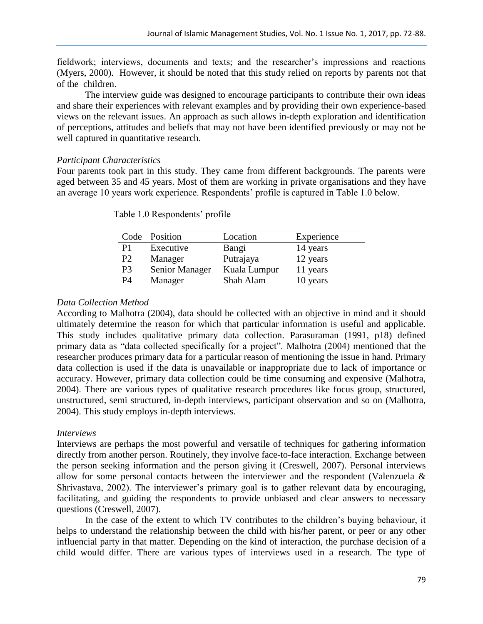fieldwork; interviews, documents and texts; and the researcher's impressions and reactions (Myers, 2000). However, it should be noted that this study relied on reports by parents not that of the children.

The interview guide was designed to encourage participants to contribute their own ideas and share their experiences with relevant examples and by providing their own experience-based views on the relevant issues. An approach as such allows in-depth exploration and identification of perceptions, attitudes and beliefs that may not have been identified previously or may not be well captured in quantitative research.

# *Participant Characteristics*

Four parents took part in this study. They came from different backgrounds. The parents were aged between 35 and 45 years. Most of them are working in private organisations and they have an average 10 years work experience. Respondents' profile is captured in Table 1.0 below.

| Code           | Position       | Location     | Experience |
|----------------|----------------|--------------|------------|
| P1             | Executive      | Bangi        | 14 years   |
| P <sub>2</sub> | Manager        | Putrajaya    | 12 years   |
| P <sub>3</sub> | Senior Manager | Kuala Lumpur | 11 years   |
| P <sub>4</sub> | Manager        | Shah Alam    | 10 years   |

Table 1.0 Respondents' profile

# *Data Collection Method*

According to Malhotra (2004), data should be collected with an objective in mind and it should ultimately determine the reason for which that particular information is useful and applicable. This study includes qualitative primary data collection. Parasuraman (1991, p18) defined primary data as "data collected specifically for a project". Malhotra (2004) mentioned that the researcher produces primary data for a particular reason of mentioning the issue in hand. Primary data collection is used if the data is unavailable or inappropriate due to lack of importance or accuracy. However, primary data collection could be time consuming and expensive (Malhotra, 2004). There are various types of qualitative research procedures like focus group, structured, unstructured, semi structured, in-depth interviews, participant observation and so on (Malhotra, 2004). This study employs in-depth interviews.

# *Interviews*

Interviews are perhaps the most powerful and versatile of techniques for gathering information directly from another person. Routinely, they involve face-to-face interaction. Exchange between the person seeking information and the person giving it (Creswell, 2007). Personal interviews allow for some personal contacts between the interviewer and the respondent (Valenzuela & Shrivastava, 2002). The interviewer's primary goal is to gather relevant data by encouraging, facilitating, and guiding the respondents to provide unbiased and clear answers to necessary questions (Creswell, 2007).

In the case of the extent to which TV contributes to the children's buying behaviour, it helps to understand the relationship between the child with his/her parent, or peer or any other influencial party in that matter. Depending on the kind of interaction, the purchase decision of a child would differ. There are various types of interviews used in a research. The type of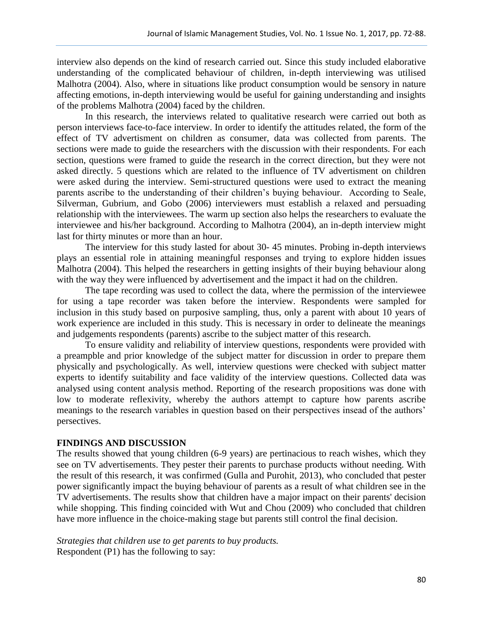interview also depends on the kind of research carried out. Since this study included elaborative understanding of the complicated behaviour of children, in-depth interviewing was utilised Malhotra (2004). Also, where in situations like product consumption would be sensory in nature affecting emotions, in-depth interviewing would be useful for gaining understanding and insights of the problems Malhotra (2004) faced by the children.

In this research, the interviews related to qualitative research were carried out both as person interviews face-to-face interview. In order to identify the attitudes related, the form of the effect of TV advertisment on children as consumer, data was collected from parents. The sections were made to guide the researchers with the discussion with their respondents. For each section, questions were framed to guide the research in the correct direction, but they were not asked directly. 5 questions which are related to the influence of TV advertisment on children were asked during the interview. Semi-structured questions were used to extract the meaning parents ascribe to the understanding of their children's buying behaviour. According to Seale, Silverman, Gubrium, and Gobo (2006) interviewers must establish a relaxed and persuading relationship with the interviewees. The warm up section also helps the researchers to evaluate the interviewee and his/her background. According to Malhotra (2004), an in-depth interview might last for thirty minutes or more than an hour.

The interview for this study lasted for about 30- 45 minutes. Probing in-depth interviews plays an essential role in attaining meaningful responses and trying to explore hidden issues Malhotra (2004). This helped the researchers in getting insights of their buying behaviour along with the way they were influenced by advertisement and the impact it had on the children.

The tape recording was used to collect the data, where the permission of the interviewee for using a tape recorder was taken before the interview. Respondents were sampled for inclusion in this study based on purposive sampling, thus, only a parent with about 10 years of work experience are included in this study. This is necessary in order to delineate the meanings and judgements respondents (parents) ascribe to the subject matter of this research.

To ensure validity and reliability of interview questions, respondents were provided with a preampble and prior knowledge of the subject matter for discussion in order to prepare them physically and psychologically. As well, interview questions were checked with subject matter experts to identify suitability and face validity of the interview questions. Collected data was analysed using content analysis method. Reporting of the research propositions was done with low to moderate reflexivity, whereby the authors attempt to capture how parents ascribe meanings to the research variables in question based on their perspectives insead of the authors' persectives.

# **FINDINGS AND DISCUSSION**

The results showed that young children (6-9 years) are pertinacious to reach wishes, which they see on TV advertisements. They pester their parents to purchase products without needing. With the result of this research, it was confirmed (Gulla and Purohit, 2013), who concluded that pester power significantly impact the buying behaviour of parents as a result of what children see in the TV advertisements. The results show that children have a major impact on their parents' decision while shopping. This finding coincided with Wut and Chou (2009) who concluded that children have more influence in the choice-making stage but parents still control the final decision.

*Strategies that children use to get parents to buy products.* Respondent (P1) has the following to say: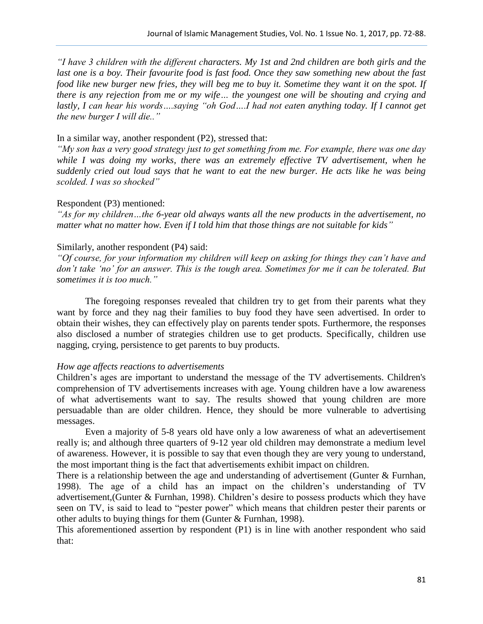*"I have 3 children with the different characters. My 1st and 2nd children are both girls and the*  last one is a boy. Their favourite food is fast food. Once they saw something new about the fast *food like new burger new fries, they will beg me to buy it. Sometime they want it on the spot. If there is any rejection from me or my wife… the youngest one will be shouting and crying and lastly, I can hear his words….saying "oh God….I had not eaten anything today. If I cannot get the new burger I will die.."*

### In a similar way, another respondent (P2), stressed that:

*"My son has a very good strategy just to get something from me. For example, there was one day while I was doing my works, there was an extremely effective TV advertisement, when he suddenly cried out loud says that he want to eat the new burger. He acts like he was being scolded. I was so shocked"*

#### Respondent (P3) mentioned:

*"As for my children…the 6-year old always wants all the new products in the advertisement, no matter what no matter how. Even if I told him that those things are not suitable for kids"*

# Similarly, another respondent (P4) said:

*"Of course, for your information my children will keep on asking for things they can't have and don't take 'no' for an answer. This is the tough area. Sometimes for me it can be tolerated. But sometimes it is too much."*

The foregoing responses revealed that children try to get from their parents what they want by force and they nag their families to buy food they have seen advertised. In order to obtain their wishes, they can effectively play on parents tender spots. Furthermore, the responses also disclosed a number of strategies children use to get products. Specifically, children use nagging, crying, persistence to get parents to buy products.

## *How age affects reactions to advertisements*

Children's ages are important to understand the message of the TV advertisements. Children's comprehension of TV advertisements increases with age. Young children have a low awareness of what advertisements want to say. The results showed that young children are more persuadable than are older children. Hence, they should be more vulnerable to advertising messages.

Even a majority of 5-8 years old have only a low awareness of what an adevertisement really is; and although three quarters of 9-12 year old children may demonstrate a medium level of awareness. However, it is possible to say that even though they are very young to understand, the most important thing is the fact that advertisements exhibit impact on children.

There is a relationship between the age and understanding of advertisement (Gunter & Furnhan, 1998). The age of a child has an impact on the children's understanding of TV advertisement,(Gunter & Furnhan, 1998). Children's desire to possess products which they have seen on TV, is said to lead to "pester power" which means that children pester their parents or other adults to buying things for them (Gunter & Furnhan, 1998).

This aforementioned assertion by respondent (P1) is in line with another respondent who said that: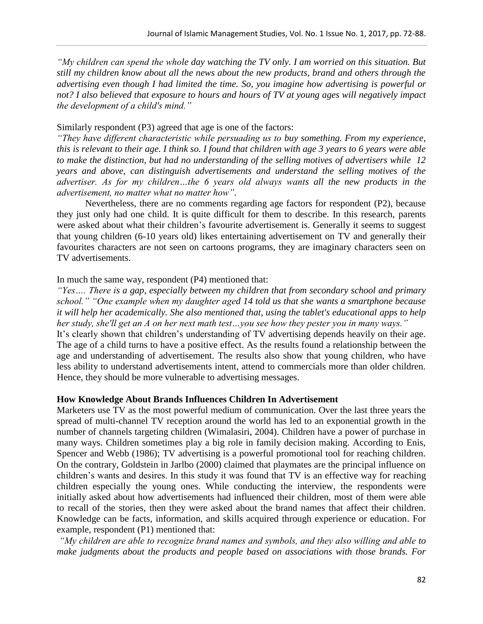*"My children can spend the whole day watching the TV only. I am worried on this situation. But still my children know about all the news about the new products, brand and others through the advertising even though I had limited the time. So, you imagine how advertising is powerful or not? I also believed that exposure to hours and hours of TV at young ages will negatively impact the development of a child's mind."*

#### Similarly respondent (P3) agreed that age is one of the factors:

*"They have different characteristic while persuading us to buy something. From my experience, this is relevant to their age. I think so. I found that children with age 3 years to 6 years were able to make the distinction, but had no understanding of the selling motives of advertisers while 12 years and above, can distinguish advertisements and understand the selling motives of the advertiser. As for my children…the 6 years old always wants all the new products in the advertisement, no matter what no matter how".*

Nevertheless, there are no comments regarding age factors for respondent (P2), because they just only had one child. It is quite difficult for them to describe. In this research, parents were asked about what their children's favourite advertisement is. Generally it seems to suggest that young children (6-10 years old) likes entertaining advertisement on TV and generally their favourites characters are not seen on cartoons programs, they are imaginary characters seen on TV advertisements.

### In much the same way, respondent (P4) mentioned that:

*"Yes…. There is a gap, especially between my children that from secondary school and primary school." "One example when my daughter aged 14 told us that she wants a smartphone because it will help her academically. She also mentioned that, using the tablet's educational apps to help her study, she'll get an A on her next math test…you see how they pester you in many ways."* It's clearly shown that children's understanding of TV advertising depends heavily on their age. The age of a child turns to have a positive effect. As the results found a relationship between the age and understanding of advertisement. The results also show that young children, who have

less ability to understand advertisements intent, attend to commercials more than older children. Hence, they should be more vulnerable to advertising messages.

## **How Knowledge About Brands Influences Children In Advertisement**

Marketers use TV as the most powerful medium of communication. Over the last three years the spread of multi-channel TV reception around the world has led to an exponential growth in the number of channels targeting children (Wimalasiri, 2004). Children have a power of purchase in many ways. Children sometimes play a big role in family decision making. According to Enis, Spencer and Webb (1986); TV advertising is a powerful promotional tool for reaching children. On the contrary, Goldstein in Jarlbo (2000) claimed that playmates are the principal influence on children's wants and desires. In this study it was found that TV is an effective way for reaching children especially the young ones. While conducting the interview, the respondents were initially asked about how advertisements had influenced their children, most of them were able to recall of the stories, then they were asked about the brand names that affect their children. Knowledge can be facts, information, and skills acquired through experience or education. For example, respondent (P1) mentioned that:

*"My children are able to recognize brand names and symbols, and they also willing and able to make judgments about the products and people based on associations with those brands. For*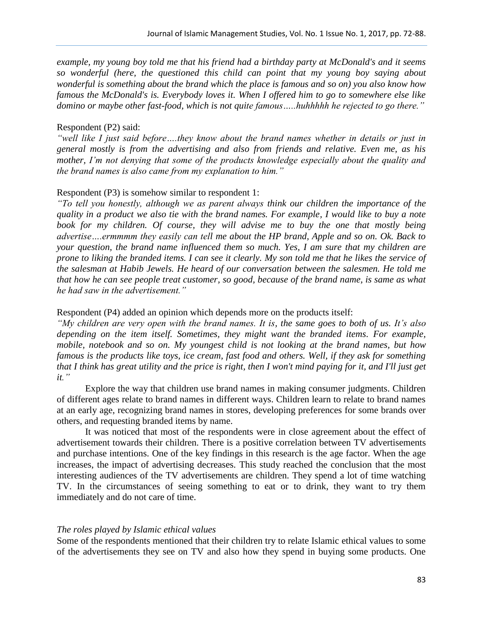*example, my young boy told me that his friend had a birthday party at McDonald's and it seems so wonderful (here, the questioned this child can point that my young boy saying about wonderful is something about the brand which the place is famous and so on) you also know how famous the McDonald's is. Everybody loves it. When I offered him to go to somewhere else like domino or maybe other fast-food, which is not quite famous…..huhhhhh he rejected to go there."*

#### Respondent (P2) said:

*"well like I just said before….they know about the brand names whether in details or just in general mostly is from the advertising and also from friends and relative. Even me, as his mother, I'm not denying that some of the products knowledge especially about the quality and the brand names is also came from my explanation to him."*

### Respondent (P3) is somehow similar to respondent 1:

*"To tell you honestly, although we as parent always think our children the importance of the quality in a product we also tie with the brand names. For example, I would like to buy a note book for my children. Of course, they will advise me to buy the one that mostly being advertise….ermmmm they easily can tell me about the HP brand, Apple and so on. Ok. Back to your question, the brand name influenced them so much. Yes, I am sure that my children are prone to liking the branded items. I can see it clearly. My son told me that he likes the service of the salesman at Habib Jewels. He heard of our conversation between the salesmen. He told me that how he can see people treat customer, so good, because of the brand name, is same as what he had saw in the advertisement."*

#### Respondent (P4) added an opinion which depends more on the products itself:

*"My children are very open with the brand names. It is, the same goes to both of us. It's also depending on the item itself. Sometimes, they might want the branded items. For example, mobile, notebook and so on. My youngest child is not looking at the brand names, but how famous is the products like toys, ice cream, fast food and others. Well, if they ask for something that I think has great utility and the price is right, then I won't mind paying for it, and I'll just get it."*

Explore the way that children use brand names in making consumer judgments. Children of different ages relate to brand names in different ways. Children learn to relate to brand names at an early age, recognizing brand names in stores, developing preferences for some brands over others, and requesting branded items by name.

It was noticed that most of the respondents were in close agreement about the effect of advertisement towards their children. There is a positive correlation between TV advertisements and purchase intentions. One of the key findings in this research is the age factor. When the age increases, the impact of advertising decreases. This study reached the conclusion that the most interesting audiences of the TV advertisements are children. They spend a lot of time watching TV. In the circumstances of seeing something to eat or to drink, they want to try them immediately and do not care of time.

#### *The roles played by Islamic ethical values*

Some of the respondents mentioned that their children try to relate Islamic ethical values to some of the advertisements they see on TV and also how they spend in buying some products. One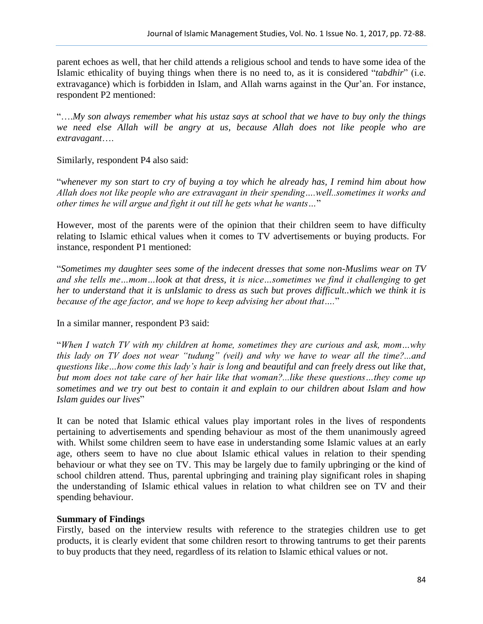parent echoes as well, that her child attends a religious school and tends to have some idea of the Islamic ethicality of buying things when there is no need to, as it is considered "*tabdhir*" (i.e. extravagance) which is forbidden in Islam, and Allah warns against in the Qur'an. For instance, respondent P2 mentioned:

"….*My son always remember what his ustaz says at school that we have to buy only the things we need else Allah will be angry at us, because Allah does not like people who are extravagant*….

Similarly, respondent P4 also said:

"*whenever my son start to cry of buying a toy which he already has, I remind him about how Allah does not like people who are extravagant in their spending….well..sometimes it works and other times he will argue and fight it out till he gets what he wants…*"

However, most of the parents were of the opinion that their children seem to have difficulty relating to Islamic ethical values when it comes to TV advertisements or buying products. For instance, respondent P1 mentioned:

"*Sometimes my daughter sees some of the indecent dresses that some non-Muslims wear on TV and she tells me…mom…look at that dress, it is nice…sometimes we find it challenging to get her to understand that it is unIslamic to dress as such but proves difficult..which we think it is because of the age factor, and we hope to keep advising her about that….*"

In a similar manner, respondent P3 said:

"*When I watch TV with my children at home, sometimes they are curious and ask, mom…why this lady on TV does not wear "tudung" (veil) and why we have to wear all the time?...and questions like…how come this lady's hair is long and beautiful and can freely dress out like that, but mom does not take care of her hair like that woman?...like these questions…they come up sometimes and we try out best to contain it and explain to our children about Islam and how Islam guides our lives*"

It can be noted that Islamic ethical values play important roles in the lives of respondents pertaining to advertisements and spending behaviour as most of the them unanimously agreed with. Whilst some children seem to have ease in understanding some Islamic values at an early age, others seem to have no clue about Islamic ethical values in relation to their spending behaviour or what they see on TV. This may be largely due to family upbringing or the kind of school children attend. Thus, parental upbringing and training play significant roles in shaping the understanding of Islamic ethical values in relation to what children see on TV and their spending behaviour.

# **Summary of Findings**

Firstly, based on the interview results with reference to the strategies children use to get products, it is clearly evident that some children resort to throwing tantrums to get their parents to buy products that they need, regardless of its relation to Islamic ethical values or not.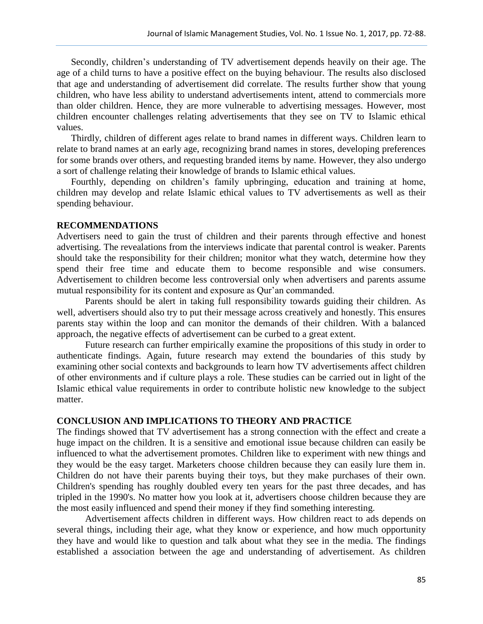Secondly, children's understanding of TV advertisement depends heavily on their age. The age of a child turns to have a positive effect on the buying behaviour. The results also disclosed that age and understanding of advertisement did correlate. The results further show that young children, who have less ability to understand advertisements intent, attend to commercials more than older children. Hence, they are more vulnerable to advertising messages. However, most children encounter challenges relating advertisements that they see on TV to Islamic ethical values.

Thirdly, children of different ages relate to brand names in different ways. Children learn to relate to brand names at an early age, recognizing brand names in stores, developing preferences for some brands over others, and requesting branded items by name. However, they also undergo a sort of challenge relating their knowledge of brands to Islamic ethical values.

Fourthly, depending on children's family upbringing, education and training at home, children may develop and relate Islamic ethical values to TV advertisements as well as their spending behaviour.

#### **RECOMMENDATIONS**

Advertisers need to gain the trust of children and their parents through effective and honest advertising. The revealations from the interviews indicate that parental control is weaker. Parents should take the responsibility for their children; monitor what they watch, determine how they spend their free time and educate them to become responsible and wise consumers. Advertisement to children become less controversial only when advertisers and parents assume mutual responsibility for its content and exposure as Qur'an commanded.

Parents should be alert in taking full responsibility towards guiding their children. As well, advertisers should also try to put their message across creatively and honestly. This ensures parents stay within the loop and can monitor the demands of their children. With a balanced approach, the negative effects of advertisement can be curbed to a great extent.

Future research can further empirically examine the propositions of this study in order to authenticate findings. Again, future research may extend the boundaries of this study by examining other social contexts and backgrounds to learn how TV advertisements affect children of other environments and if culture plays a role. These studies can be carried out in light of the Islamic ethical value requirements in order to contribute holistic new knowledge to the subject matter.

# **CONCLUSION AND IMPLICATIONS TO THEORY AND PRACTICE**

The findings showed that TV advertisement has a strong connection with the effect and create a huge impact on the children. It is a sensitive and emotional issue because children can easily be influenced to what the advertisement promotes. Children like to experiment with new things and they would be the easy target. Marketers choose children because they can easily lure them in. Children do not have their parents buying their toys, but they make purchases of their own. Children's spending has roughly doubled every ten years for the past three decades, and has tripled in the 1990's. No matter how you look at it, advertisers choose children because they are the most easily influenced and spend their money if they find something interesting.

Advertisement affects children in different ways. How children react to ads depends on several things, including their age, what they know or experience, and how much opportunity they have and would like to question and talk about what they see in the media. The findings established a association between the age and understanding of advertisement. As children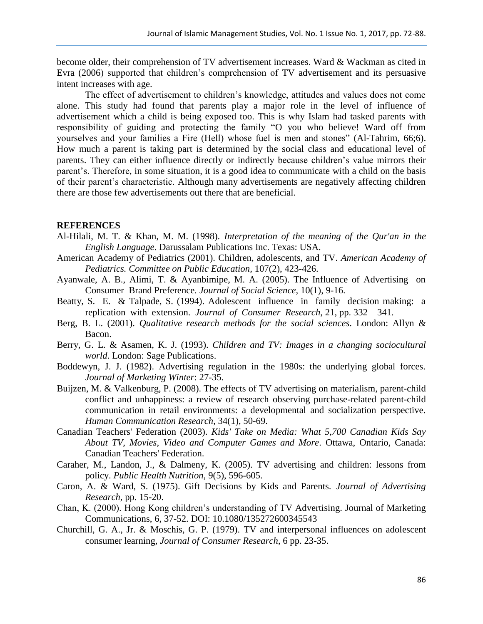become older, their comprehension of TV advertisement increases. Ward & Wackman as cited in Evra (2006) supported that children's comprehension of TV advertisement and its persuasive intent increases with age.

The effect of advertisement to children's knowledge, attitudes and values does not come alone. This study had found that parents play a major role in the level of influence of advertisement which a child is being exposed too. This is why Islam had tasked parents with responsibility of guiding and protecting the family "O you who believe! Ward off from yourselves and your families a Fire (Hell) whose fuel is men and stones" (Al-Tahrim, 66;6). How much a parent is taking part is determined by the social class and educational level of parents. They can either influence directly or indirectly because children's value mirrors their parent's. Therefore, in some situation, it is a good idea to communicate with a child on the basis of their parent's characteristic. Although many advertisements are negatively affecting children there are those few advertisements out there that are beneficial.

#### **REFERENCES**

- Al-Hilali, M. T. & Khan, M. M. (1998). *Interpretation of the meaning of the Qur'an in the English Language*. Darussalam Publications Inc. Texas: USA.
- American Academy of Pediatrics (2001). Children, adolescents, and TV. *[American Academy of](http://www.ncbi.nlm.nih.gov/pubmed?term=American%20Academy%20of%20Pediatrics.%20Committee%20on%20Public%20Education%5BCorporate%20Author%5D)  [Pediatrics. Committee on Public Education,](http://www.ncbi.nlm.nih.gov/pubmed?term=American%20Academy%20of%20Pediatrics.%20Committee%20on%20Public%20Education%5BCorporate%20Author%5D)* 107(2), 423-426.
- Ayanwale, A. B., Alimi, T. & Ayanbimipe, M. A. (2005). The Influence of Advertising on Consumer Brand Preference*. Journal of Social Science*, 10(1), 9-16.
- Beatty, S. E. & Talpade, S. (1994). Adolescent influence in family decision making: a replication with extension. *Journal of Consumer Research*, 21, pp. 332 – 341.
- Berg, B. L. (2001). *Qualitative research methods for the social sciences*. London: Allyn & Bacon.
- Berry, G. L. & Asamen, K. J. (1993). *Children and TV: Images in a changing sociocultural world*. London: Sage Publications.
- Boddewyn, J. J. (1982). Advertising regulation in the 1980s: the underlying global forces. *Journal of Marketing Winter*: 27-35.
- Buijzen, M. & Valkenburg, P. (2008). The effects of TV advertising on materialism, parent-child conflict and unhappiness: a review of research observing purchase-related parent-child communication in retail environments: a developmental and socialization perspective. *Human Communication Research*, 34(1), 50-69.
- Canadian Teachers' Federation (2003). *Kids' Take on Media: What 5,700 Canadian Kids Say About TV, Movies, Video and Computer Games and More*. Ottawa, Ontario, Canada: Canadian Teachers' Federation.
- Caraher, M., Landon, J., & Dalmeny, K. (2005). TV advertising and children: lessons from policy. *Public Health Nutrition*, 9(5), 596-605.
- Caron, A. & Ward, S. (1975). Gift Decisions by Kids and Parents. *Journal of Advertising Research*, pp. 15-20.
- Chan, K. (2000). Hong Kong children's understanding of TV Advertising. Journal of Marketing Communications, 6, 37-52. DOI: 10.1080/135272600345543
- Churchill, G. A., Jr. & Moschis, G. P. (1979). TV and interpersonal influences on adolescent consumer learning*, Journal of Consumer Research*, 6 pp. 23-35.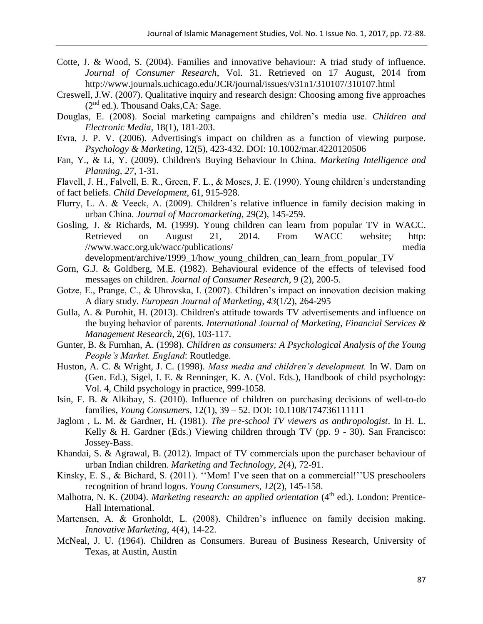- Cotte, J. & Wood, S. (2004). Families and innovative behaviour: A triad study of influence. *Journal of Consumer Research*, Vol. 31. Retrieved on 17 August, 2014 from <http://www.journals.uchicago.edu/JCR/journal/issues/v31n1/310107/310107.html>
- Creswell, J.W. (2007). Qualitative inquiry and research design: Choosing among five approaches  $(2<sup>nd</sup>$  ed.). Thousand Oaks, CA: Sage.
- Douglas, E. (2008). Social marketing campaigns and children's media use. *Children and Electronic Media,* 18(1), 181-203.
- Evra, J. P. V. (2006). Advertising's impact on children as a function of viewing purpose. *Psychology & Marketing*, 12(5), 423-432. DOI: 10.1002/mar.4220120506
- Fan, Y., & Li, Y. (2009). Children's Buying Behaviour In China. *Marketing Intelligence and Planning, 27*, 1-31.
- Flavell, J. H., Falvell, E. R., Green, F. L., & Moses, J. E. (1990). Young children's understanding of fact beliefs. *Child Development*, 61, 915-928.
- Flurry, L. A. & Veeck, A. (2009). Children's relative influence in family decision making in urban China. *Journal of Macromarketing*, 29(2), 145-259.
- Gosling, J. & Richards, M. (1999). Young children can learn from popular TV in WACC. Retrieved on August 21, 2014. From WACC website; [http:](http://www.wacc.org.uk/wacc/publications/media) [//www.wacc.org.uk/wacc/publications/ media](http://www.wacc.org.uk/wacc/publications/media) development/archive/1999\_1/how\_young\_children\_can\_learn\_from\_popular\_TV
- Gorn, G.J. & Goldberg, M.E. (1982). Behavioural evidence of the effects of televised food messages on children. *Journal of Consumer Research*, 9 (2), 200-5.
- Gotze, E., Prange, C., & Uhrovska, I. (2007). Children's impact on innovation decision making A diary study. *European Journal of Marketing, 43*(1/2), 264-295
- Gulla, A. & Purohit, H. (2013). Children's attitude towards TV advertisements and influence on the buying behavior of parents. *International Journal of Marketing, Financial Services & Management Research*, 2(6), 103-117.
- Gunter, B. & Furnhan, A. (1998). *Children as consumers: A Psychological Analysis of the Young People's Market. England*: Routledge.
- Huston, A. C. & Wright, J. C. (1998). *Mass media and children's development.* In W. Dam on (Gen. Ed.), Sigel, I. E. & Renninger, K. A. (Vol. Eds.), Handbook of child psychology: Vol. 4, Child psychology in practice, 999-1058.
- Isin, F. B. & Alkibay, S. (2010). Influence of children on purchasing decisions of well-to-do families, *Young Consumers*, 12(1), 39 – 52. DOI: 10.1108/174736111111
- Jaglom , L. M. & Gardner, H. (1981). *The pre-school TV viewers as anthropologist*. In H. L. Kelly & H. Gardner (Eds.) Viewing children through TV (pp. 9 - 30). San Francisco: Jossey-Bass.
- Khandai, S. & Agrawal, B. (2012). Impact of TV commercials upon the purchaser behaviour of urban Indian children. *Marketing and Technology, 2*(4), 72-91.
- Kinsky, E. S., & Bichard, S. (2011). "Mom! I've seen that on a commercial!"US preschoolers recognition of brand logos. *Young Consumers, 12*(2), 145-158.
- Malhotra, N. K. (2004). *Marketing research: an applied orientation* (4<sup>th</sup> ed.). London: Prentice-Hall International.
- Martensen, A. & Gronholdt, L. (2008). Children's influence on family decision making. *Innovative Marketing*, 4(4), 14-22.
- McNeal, J. U. (1964). Children as Consumers. Bureau of Business Research, University of Texas, at Austin, Austin